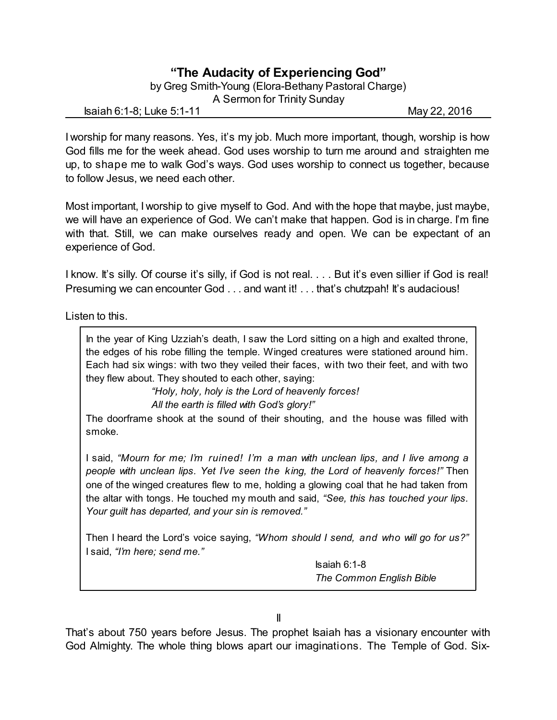## **"The Audacity of Experiencing God"**

by Greg Smith-Young (Elora-Bethany Pastoral Charge) A Sermon for Trinity Sunday

Isaiah 6:1-8; Luke 5:1-11 May 22, 2016

I worship for many reasons. Yes, it's my job. Much more important, though, worship is how God fills me for the week ahead. God uses worship to turn me around and straighten me up, to shape me to walk God's ways. God uses worship to connect us together, because to follow Jesus, we need each other.

Most important, I worship to give myself to God. And with the hope that maybe, just maybe, we will have an experience of God. We can't make that happen. God is in charge. I'm fine with that. Still, we can make ourselves ready and open. We can be expectant of an experience of God.

I know. It's silly. Of course it's silly, if God is not real. . . . But it's even sillier if God is real! Presuming we can encounter God . . . and want it! . . . that's chutzpah! It's audacious!

Listen to this.

In the year of King Uzziah's death, I saw the Lord sitting on a high and exalted throne, the edges of his robe filling the temple. Winged creatures were stationed around him. Each had six wings: with two they veiled their faces, with two their feet, and with two they flew about. They shouted to each other, saying:

> *"Holy, holy, holy is the Lord of heavenly forces! All the earth is filled with God's glory!"*

The doorframe shook at the sound of their shouting, and the house was filled with smoke.

I said, *"Mourn for me; I'm ruined! I'm a man with unclean lips, and I live among a people with unclean lips. Yet I've seen the king, the Lord of heavenly forces!"* Then one of the winged creatures flew to me, holding a glowing coal that he had taken from the altar with tongs. He touched my mouth and said, *"See, this has touched your lips. Your guilt has departed, and your sin is removed."*

Then I heard the Lord's voice saying, *"Whom should I send, and who will go for us?"* I said, *"I'm here; send me."*

> Isaiah 6:1-8 *The Common English Bible*

II

That's about 750 years before Jesus. The prophet Isaiah has a visionary encounter with God Almighty. The whole thing blows apart our imaginations. The Temple of God. Six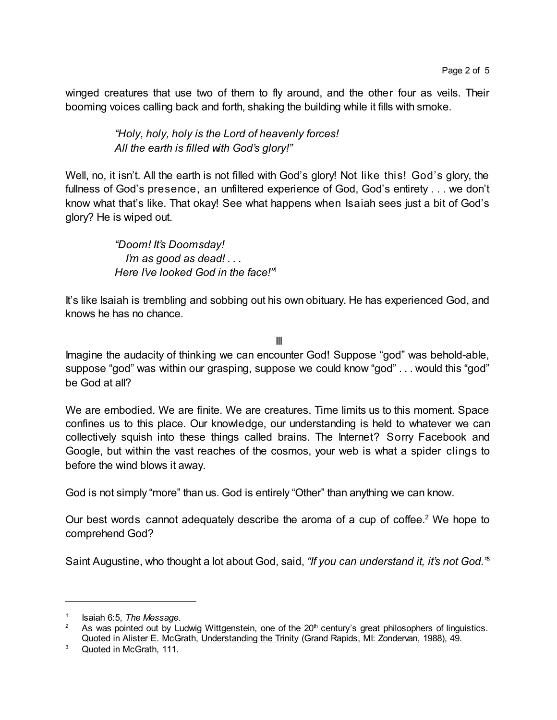winged creatures that use two of them to fly around, and the other four as veils. Their booming voices calling back and forth, shaking the building while it fills with smoke.

> *"Holy, holy, holy is the Lord of heavenly forces! All the earth is filled with God's glory!"*

Well, no, it isn't. All the earth is not filled with God's glory! Not like this! God's glory, the fullness of God's presence, an unfiltered experience of God, God's entirety . . . we don't know what that's like. That okay! See what happens when Isaiah sees just a bit of God's glory? He is wiped out.

> *"Doom! It's Doomsday! I'm as good as dead! . . . Here I've looked God in the face!"* 1

It's like Isaiah is trembling and sobbing out his own obituary. He has experienced God, and knows he has no chance.

III

Imagine the audacity of thinking we can encounter God! Suppose "god" was behold-able, suppose "god" was within our grasping, suppose we could know "god" . . . would this "god" be God at all?

We are embodied. We are finite. We are creatures. Time limits us to this moment. Space confines us to this place. Our knowledge, our understanding is held to whatever we can collectively squish into these things called brains. The Internet? Sorry Facebook and Google, but within the vast reaches of the cosmos, your web is what a spider clings to before the wind blows it away.

God is not simply "more" than us. God is entirely "Other" than anything we can know.

Our best words cannot adequately describe the aroma of a cup of coffee.<sup>2</sup> We hope to comprehend God?

Saint Augustine, who thought a lot about God, said, *"If you can understand it, it's not God."* 3

<sup>1</sup> Isaiah 6:5, *The Message*.

<sup>&</sup>lt;sup>2</sup> As was pointed out by Ludwig Wittgenstein, one of the 20<sup>th</sup> century's great philosophers of linguistics. Quoted in Alister E. McGrath, Understanding the Trinity (Grand Rapids, MI: Zondervan, 1988), 49.

<sup>&</sup>lt;sup>3</sup> Quoted in McGrath, 111.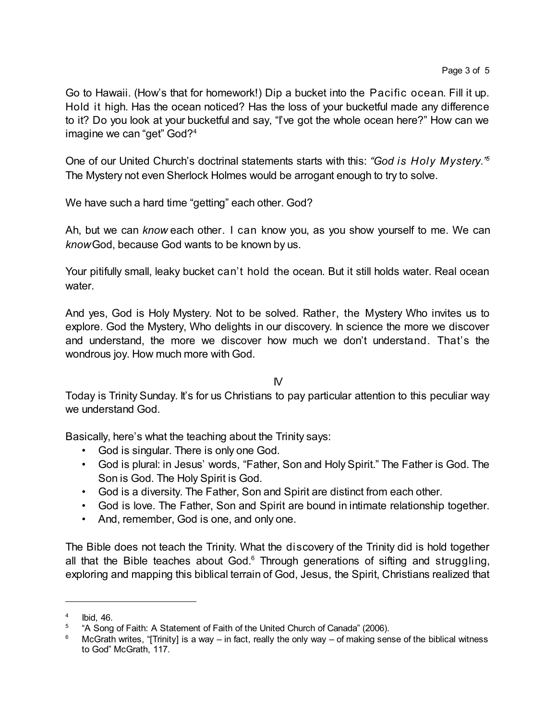Go to Hawaii. (How's that for homework!) Dip a bucket into the Pacific ocean. Fill it up. Hold it high. Has the ocean noticed? Has the loss of your bucketful made any difference to it? Do you look at your bucketful and say, "I've got the whole ocean here?" How can we imagine we can "get" God?<sup>4</sup>

One of our United Church's doctrinal statements starts with this: *"God is Holy Mystery." 5* The Mystery not even Sherlock Holmes would be arrogant enough to try to solve.

We have such a hard time "getting" each other. God?

Ah, but we can *know* each other. I can know you, as you show yourself to me. We can *know*God, because God wants to be known by us.

Your pitifully small, leaky bucket can't hold the ocean. But it still holds water. Real ocean water.

And yes, God is Holy Mystery. Not to be solved. Rather, the Mystery Who invites us to explore. God the Mystery, Who delights in our discovery. In science the more we discover and understand, the more we discover how much we don't understand. That's the wondrous joy. How much more with God.

IV

Today is Trinity Sunday. It's for us Christians to pay particular attention to this peculiar way we understand God.

Basically, here's what the teaching about the Trinity says:

- God is singular. There is only one God.
- God is plural: in Jesus' words, "Father, Son and Holy Spirit." The Father is God. The Son is God. The Holy Spirit is God.
- God is a diversity. The Father, Son and Spirit are distinct from each other.
- God is love. The Father, Son and Spirit are bound in intimate relationship together.
- And, remember, God is one, and only one.

The Bible does not teach the Trinity. What the discovery of the Trinity did is hold together all that the Bible teaches about  $God<sup>6</sup>$ . Through generations of sifting and struggling, exploring and mapping this biblical terrain of God, Jesus, the Spirit, Christians realized that

<sup>4</sup> Ibid, 46.

<sup>&</sup>lt;sup>5</sup> "A Song of Faith: A Statement of Faith of the United Church of Canada" (2006).

<sup>6</sup> McGrath writes, "[Trinity] is a way – in fact, really the only way – of making sense of the biblical witness to God" McGrath, 117.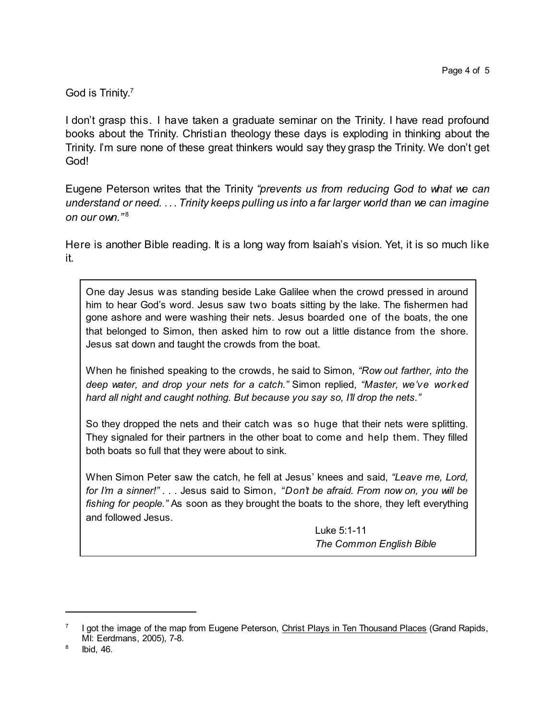## God is Trinity. 7

I don't grasp this. I have taken a graduate seminar on the Trinity. I have read profound books about the Trinity. Christian theology these days is exploding in thinking about the Trinity. I'm sure none of these great thinkers would say they grasp the Trinity. We don't get God!

Eugene Peterson writes that the Trinity *"prevents us from reducing God to what we can understand or need. . . . Trinity keeps pulling us into a far larger world than we can imagine on our own."* 8

Here is another Bible reading. It is a long way from Isaiah's vision. Yet, it is so much like it.

One day Jesus was standing beside Lake Galilee when the crowd pressed in around him to hear God's word. Jesus saw two boats sitting by the lake. The fishermen had gone ashore and were washing their nets. Jesus boarded one of the boats, the one that belonged to Simon, then asked him to row out a little distance from the shore. Jesus sat down and taught the crowds from the boat.

When he finished speaking to the crowds, he said to Simon, *"Row out farther, into the deep water, and drop your nets for a catch."* Simon replied, *"Master, we've worked hard all night and caught nothing. But because you say so, I'll drop the nets."*

So they dropped the nets and their catch was so huge that their nets were splitting. They signaled for their partners in the other boat to come and help them. They filled both boats so full that they were about to sink.

When Simon Peter saw the catch, he fell at Jesus' knees and said, *"Leave me, Lord, for I'm a sinner!"* . . . Jesus said to Simon, *"Don't be afraid. From now on, you will be fishing for people."* As soon as they brought the boats to the shore, they left everything and followed Jesus.

> Luke 5:1-11 *The Common English Bible*

<sup>7</sup> I got the image of the map from Eugene Peterson, Christ Plays in Ten Thousand Places (Grand Rapids, MI: Eerdmans, 2005), 7-8.

<sup>8</sup> Ibid, 46.